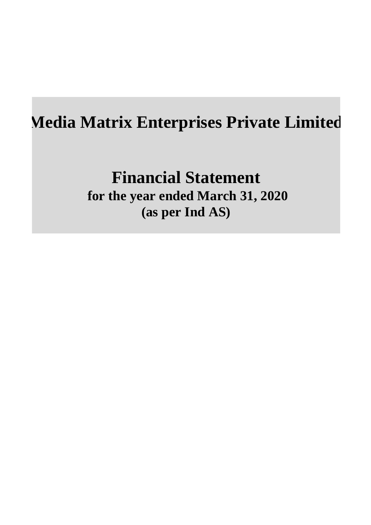**Financial Statement for the year ended March 31, 2020 (as per Ind AS)**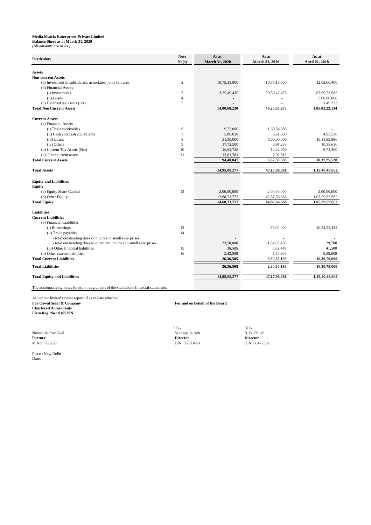# **Balance Sheet as at March 31, 2020**

*(All amounts are in Rs.)*

**Partner Director Director** M.No.: 085238 DIN: 05300460 DIN: 05300460 DIN: 00472532

 $SD/ SD/-$ Naresh Kumar Goel **Sandeep Jairath** B. B. Chugh

| <b>Particulars</b>                                                                  | <b>Note</b><br>No(s) | As at<br><b>March 31, 2020</b> | As at<br>March 31, 2019 | As at<br>April 01, 2018 |  |
|-------------------------------------------------------------------------------------|----------------------|--------------------------------|-------------------------|-------------------------|--|
|                                                                                     |                      |                                |                         |                         |  |
| <b>Assets</b>                                                                       |                      |                                |                         |                         |  |
| <b>Non-current Assets</b>                                                           |                      |                                |                         |                         |  |
| (a) Investment in subsidaries, associates/joint ventures                            | $\overline{2}$       | 10,75,18,800                   | 10,75,18,800            | 12,02,00,400            |  |
| (b) Financial Assets                                                                |                      |                                |                         |                         |  |
| (i) Investments                                                                     | 3                    | 3,25,49,430                    | 29,50,47,473            | 87,99,73,505            |  |
| (ii) Loans                                                                          | 4                    |                                |                         | 5,00,00,006             |  |
| (c) Deferred tax assets (net)                                                       | $\sqrt{5}$           |                                |                         | 1,49,223                |  |
| <b>Total Non Current Assets</b>                                                     |                      | 14,00,68,230                   | 40,25,66,273            | 1,05,03,23,134          |  |
| <b>Current Assets</b>                                                               |                      |                                |                         |                         |  |
| (a) Financial Assets                                                                |                      |                                |                         |                         |  |
| (i) Trade receivables                                                               | 6                    | 9,72,000                       | 1,60,54,088             |                         |  |
| (ii) Cash and cash equivalents                                                      | $\tau$               | 5,00,038                       | 6,61,690                | 4,93,536                |  |
| (iii) Loans                                                                         | 8                    | 31,50,000                      | 5,00,00,006             | 10,11,99,996            |  |
| (iv) Others                                                                         | 9                    | 17,72,500                      | 3,91,233                | 10,58,636               |  |
| (b) Current Tax Assets (Net)                                                        | 10                   | 16,63,728                      | 14,22,059               | 9,73,360                |  |
| (c) Other current assets                                                            | 11                   | 13,81,781                      | 7,01,512                |                         |  |
| <b>Total Current Assets</b>                                                         |                      | 94,40,047                      | 6,92,30,588             | 10,37,25,528            |  |
| <b>Total Assets</b>                                                                 |                      | 14,95,08,277                   | 47,17,96,861            | 1,15,40,48,662          |  |
|                                                                                     |                      |                                |                         |                         |  |
| <b>Equity and Liabilities</b>                                                       |                      |                                |                         |                         |  |
| <b>Equity</b>                                                                       |                      |                                |                         |                         |  |
| (a) Equity Share Capital                                                            | 12                   | 2,00,00,000                    | 2,00,00,000             | 2,00,00,000             |  |
| (b) Other Equity                                                                    |                      | 12,68,71,772                   | 42,87,66,668            | 1,03,09,69,662          |  |
| <b>Total Equity</b>                                                                 |                      | 14,68,71,772                   | 44,87,66,668            | 1,05,09,69,662          |  |
| <b>Liabilities</b>                                                                  |                      |                                |                         |                         |  |
| <b>Current Liabilities</b>                                                          |                      |                                |                         |                         |  |
| (a) Financial Liabilities                                                           |                      |                                |                         |                         |  |
| (i) Borrowings                                                                      | 13                   |                                | 35,00,000               | 10,24,52,192            |  |
| (ii) Trade payables                                                                 | 14                   |                                |                         |                         |  |
| - total outstanding dues of micro and small enterprises                             |                      |                                |                         |                         |  |
| - total outstanding dues to other than micro and small enterprises.                 |                      | 23,58,000                      | 1,84,03,438             | 29,700                  |  |
| (iii) Other financial liabilities                                                   | 15                   | 36,505                         | 5,82,449                | 41,500                  |  |
| (b) Other current liabilities                                                       | 16                   | 2,42,000                       | 5,44,306                | 5,55,608                |  |
| <b>Total Current Liabilities</b>                                                    |                      | 26,36,505                      | 2,30,30,193             | 10,30,79,000            |  |
| <b>Total Liabilities</b>                                                            |                      | 26,36,505                      | 2,30,30,193             | 10,30,79,000            |  |
| <b>Total Equity and Liabilities</b>                                                 |                      | 14,95,08,277                   | 47,17,96,861            | 1,15,40,48,662          |  |
|                                                                                     |                      |                                |                         |                         |  |
| The accompanying notes form an integral part of the standalone financial statements |                      |                                |                         |                         |  |

As per our limited review report of even date attached **For Oswal Sunil & Company For and on behalf of the Board Chartered Accountants Firm Reg. No.: 016520N**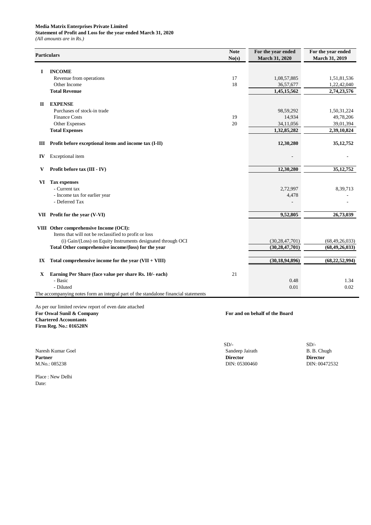**Statement of Profit and Loss for the year ended March 31, 2020**

*(All amounts are in Rs.)*

|             | <b>Particulars</b>                                                                  | <b>Note</b><br>No(s) | For the year ended<br><b>March 31, 2020</b> | For the year ended<br><b>March 31, 2019</b> |
|-------------|-------------------------------------------------------------------------------------|----------------------|---------------------------------------------|---------------------------------------------|
| I           | <b>INCOME</b>                                                                       |                      |                                             |                                             |
|             | Revenue from operations                                                             | 17                   | 1,08,57,885                                 | 1,51,81,536                                 |
|             | Other Income                                                                        | 18                   | 36,57,677                                   | 1,22,42,040                                 |
|             | <b>Total Revenue</b>                                                                |                      | 1,45,15,562                                 | 2,74,23,576                                 |
| $\mathbf H$ | <b>EXPENSE</b>                                                                      |                      |                                             |                                             |
|             | Purchases of stock-in trade                                                         |                      | 98,59,292                                   | 1,50,31,224                                 |
|             | <b>Finance Costs</b>                                                                | 19                   | 14,934                                      | 49,78,206                                   |
|             | Other Expenses                                                                      | 20                   | 34,11,056                                   | 39,01,394                                   |
|             | <b>Total Expenses</b>                                                               |                      | 1,32,85,282                                 | 2,39,10,824                                 |
| Ш           | Profit before exceptional items and income tax (I-II)                               |                      | 12,30,280                                   | 35, 12, 752                                 |
| IV          | Exceptional item                                                                    |                      |                                             |                                             |
| V           | Profit before tax (III - IV)                                                        |                      | 12,30,280                                   | 35, 12, 752                                 |
| VI          | <b>Tax expenses</b>                                                                 |                      |                                             |                                             |
|             | - Current tax                                                                       |                      | 2,72,997                                    | 8,39,713                                    |
|             | - Income tax for earlier year                                                       |                      | 4,478                                       |                                             |
|             | - Deferred Tax                                                                      |                      |                                             |                                             |
|             | VII Profit for the year (V-VI)                                                      |                      | 9,52,805                                    | 26,73,039                                   |
|             | VIII Other comprehensive Income (OCI):                                              |                      |                                             |                                             |
|             | Items that will not be reclassified to profit or loss                               |                      |                                             |                                             |
|             | (i) Gain/(Loss) on Equity Instruments designated through OCI                        |                      | (30, 28, 47, 701)                           | (68, 49, 26, 033)                           |
|             | Total Other comprehensive income/(loss) for the year                                |                      | (30, 28, 47, 701)                           | (68, 49, 26, 033)                           |
| IX          | Total comprehensive income for the year $(VII + VIII)$                              |                      | (30, 18, 94, 896)                           | (68, 22, 52, 994)                           |
| X           | Earning Per Share (face value per share Rs. 10/- each)                              | 21                   |                                             |                                             |
|             | - Basic                                                                             |                      | 0.48                                        | 1.34                                        |
|             | - Diluted                                                                           |                      | 0.01                                        | 0.02                                        |
|             | The accompanying notes form an integral part of the standalone financial statements |                      |                                             |                                             |

As per our limited review report of even date attached **For Oswal Sunil & Company For and on behalf of the Board Chartered Accountants Firm Reg. No.: 016520N**

Naresh Kumar Goel Sandeep Jairath **Partner Director Director** M.No.: 085238 DIN: 05300460 DIN: 05300460

SD/-<br>Sandeep Jairath B. B. Chugh

Place : New Delhi Date: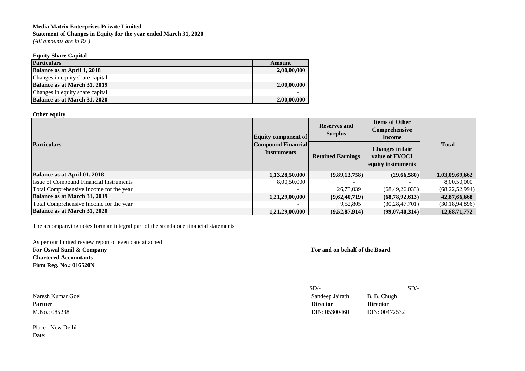#### **Media Matrix Enterprises Private Limited Statement of Changes in Equity for the year ended March 31, 2020** *(All amounts are in Rs.)*

#### **Equity Share Capital**

| <b>Particulars</b>                  | Amount      |
|-------------------------------------|-------------|
| Balance as at April 1, 2018         | 2,00,00,000 |
| Changes in equity share capital     |             |
| <b>Balance as at March 31, 2019</b> | 2,00,00,000 |
| Changes in equity share capital     |             |
| Balance as at March 31, 2020        | 2,00,00,000 |

#### **Other equity**

| <b>Particulars</b>                             | Equity component of                      | <b>Reserves and</b><br><b>Surplus</b> | <b>Items of Other</b><br>Comprehensive<br>Income                      | <b>Total</b>      |  |
|------------------------------------------------|------------------------------------------|---------------------------------------|-----------------------------------------------------------------------|-------------------|--|
|                                                | Compound Financial<br><b>Instruments</b> | <b>Retained Earnings</b>              | <b>Changes in fair</b><br>value of <b>FVOCI</b><br>equity instruments |                   |  |
| Balance as at April 01, 2018                   | 1,13,28,50,000                           | (9,89,13,758)                         | (29,66,580)                                                           | 1,03,09,69,662    |  |
| <b>Issue of Compound Financial Instruments</b> | 8,00,50,000                              |                                       |                                                                       | 8,00,50,000       |  |
| Total Comprehensive Income for the year        |                                          | 26,73,039                             | (68, 49, 26, 033)                                                     | (68, 22, 52, 994) |  |
| Balance as at March 31, 2019                   | 1,21,29,00,000                           | (9,62,40,719)                         | (68,78,92,613)                                                        | 42,87,66,668      |  |
| Total Comprehensive Income for the year        |                                          | 9,52,805                              | (30, 28, 47, 701)                                                     | (30, 18, 94, 896) |  |
| Balance as at March 31, 2020                   | 1,21,29,00,000                           | (9,52,87,914)                         | (99,07,40,314)                                                        | 12,68,71,772      |  |

The accompanying notes form an integral part of the standalone financial statements

As per our limited review report of even date attached **For Oswal Sunil & Company For and on behalf of the Board Chartered Accountants Firm Reg. No.: 016520N**

Place : New Delhi Date:

|                   | SD/-            |                 | SD/- |
|-------------------|-----------------|-----------------|------|
| Naresh Kumar Goel | Sandeep Jairath | B. B. Chugh     |      |
| Partner           | <b>Director</b> | <b>Director</b> |      |
| M.No.: 085238     | DIN: 05300460   | DIN: 00472532   |      |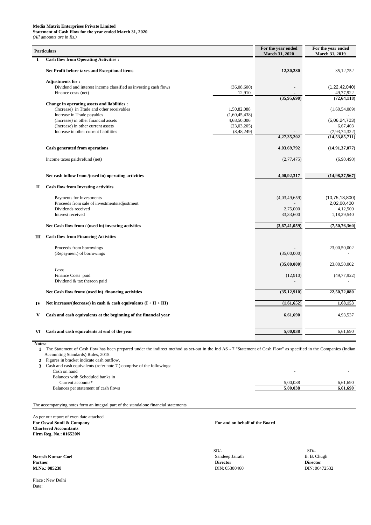# **Statement of Cash Flow for the year ended March 31, 2020**

*(All amounts are in Rs.)*

|              | <b>Particulars</b>                                                                                                                                                                                                                             |                                                                            | For the year ended<br><b>March 31, 2020</b> | For the year ended<br><b>March 31, 2019</b>                                                       |
|--------------|------------------------------------------------------------------------------------------------------------------------------------------------------------------------------------------------------------------------------------------------|----------------------------------------------------------------------------|---------------------------------------------|---------------------------------------------------------------------------------------------------|
|              | <b>Cash flow from Operating Activities :</b>                                                                                                                                                                                                   |                                                                            |                                             |                                                                                                   |
|              | Net Profit before taxes and Exceptional items                                                                                                                                                                                                  |                                                                            | 12,30,280                                   | 35, 12, 752                                                                                       |
|              | <b>Adjustments for:</b><br>Dividend and interest income classified as investing cash flows<br>Finance costs (net)                                                                                                                              | (36,08,600)<br>12,910                                                      |                                             | (1, 22, 42, 040)<br>49,77,922                                                                     |
|              | Change in operating assets and liabilities :<br>(Increase) in Trade and other receivables<br>Increase in Trade payables<br>(Increase) in other financial assets<br>(Increase) in other current assets<br>Increase in other current liabilities | 1,50,82,088<br>(1,60,45,438)<br>4,68,50,006<br>(23,03,205)<br>(8, 48, 249) | (35,95,690)<br>4,27,35,202                  | (72, 64, 118)<br>(1,60,54,089)<br>(5,06,24,703)<br>6,67,403<br>(7,93,74,322)<br>(14, 53, 85, 711) |
|              | <b>Cash generated from operations</b>                                                                                                                                                                                                          |                                                                            | 4,03,69,792                                 | (14, 91, 37, 077)                                                                                 |
|              | Income taxes paid/refund (net)                                                                                                                                                                                                                 |                                                                            | (2,77,475)                                  | (6,90,490)                                                                                        |
|              | Net cash inflow from /(used in) operating activities                                                                                                                                                                                           |                                                                            | 4,00,92,317                                 | (14,98,27,567)                                                                                    |
| $\mathbf{I}$ | <b>Cash flow from Investing activities</b>                                                                                                                                                                                                     |                                                                            |                                             |                                                                                                   |
|              | Payments for Investments<br>Proceeds from sale of investments/adjustment<br>Dividends received<br>Interest received                                                                                                                            |                                                                            | (4,03,49,659)<br>2,75,000<br>33,33,600      | (10, 75, 18, 800)<br>2,02,00,400<br>4,12,500<br>1,18,29,540                                       |
|              | Net Cash flow from / (used in) investing activities                                                                                                                                                                                            |                                                                            | (3,67,41,059)                               | (7,50,76,360)                                                                                     |
| Ш            | <b>Cash flow from Financing Activities</b>                                                                                                                                                                                                     |                                                                            |                                             |                                                                                                   |
|              | Proceeds from borrowings<br>(Repayment) of borrowings                                                                                                                                                                                          |                                                                            | (35,00,000)                                 | 23,00,50,002                                                                                      |
|              |                                                                                                                                                                                                                                                |                                                                            | (35,00,000)                                 | 23,00,50,002                                                                                      |
|              | Less:<br>Finance Costs paid<br>Dividend & tax thereon paid                                                                                                                                                                                     |                                                                            | (12,910)                                    | (49, 77, 922)                                                                                     |
|              | Net Cash flow from/ (used in) financing activities                                                                                                                                                                                             |                                                                            | (35, 12, 910)                               | 22,50,72,080                                                                                      |
| IV           | Net increase/(decrease) in cash & cash equivalents $(I + II + III)$                                                                                                                                                                            |                                                                            | (1,61,652)                                  | 1,68,153                                                                                          |
| V            | Cash and cash equivalents at the beginning of the financial year                                                                                                                                                                               |                                                                            | 6,61,690                                    | 4,93,537                                                                                          |
| VI           | Cash and cash equivalents at end of the year                                                                                                                                                                                                   |                                                                            | 5,00,038                                    | 6,61,690                                                                                          |

**Notes:**

 **2** Figures in bracket indicate cash outflow.

 **3** Cash and cash equivalents (refer note 7 ) comprise of the followings:

 $\mathsf{Cash}$  on hand

| Balances with Scheduled banks in     |          |             |
|--------------------------------------|----------|-------------|
| urrent accounts*                     | 0.038    | .690<br>b.6 |
| Balances per statement of cash flows | 5.00.038 | .690        |
|                                      |          |             |

As per our report of even date attached **For Oswal Sunil & Company For and on behalf of the Board Chartered Accountants Firm Reg. No.: 016520N**

**Naresh Kumar Goel** B. B. Chugh Sandeep Jairath B. B. Chugh **Partner Director Director M.No.: 085238** DIN: 00472532 DIN: 00472532

 **1** The Statement of Cash flow has been prepared under the indirect method as set-out in the Ind AS - 7 "Statement of Cash Flow" as specified in the Companies (Indian Accounting Standards) Rules, 2015.

Place : New Delhi Date:

 $SD/-$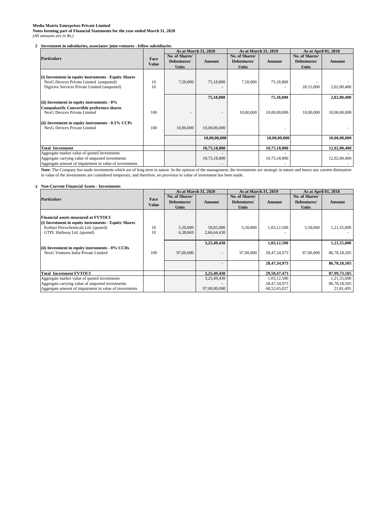**Notes forming part of Financial Statements for the year ended March 31, 2020** *(All amounts are in Rs.)*

# **2 Investment in subsidaries, associates/ joint ventures - fellow subsidiaries**

# **3 Non-Current Financial Assets - Investments**

|                                                        |              |                | <b>As at March 31, 2020</b> |                | As at March 31, 2019 | As at April 01, 2018 |               |
|--------------------------------------------------------|--------------|----------------|-----------------------------|----------------|----------------------|----------------------|---------------|
| <b>Particulars</b>                                     | Face         | No. of Shares/ |                             | No. of Shares/ |                      | No. of Shares/       |               |
|                                                        | <b>Value</b> | Debentures/    | <b>Amount</b>               | Debentures/    | <b>Amount</b>        | Debentures/          | <b>Amount</b> |
|                                                        |              | <b>Units</b>   |                             | <b>Units</b>   |                      | <b>Units</b>         |               |
|                                                        |              |                |                             |                |                      |                      |               |
| (i) Investment in equity instruments - Equity Shares   |              |                |                             |                |                      |                      |               |
| NexG Devices Private Limited (unquoted)                | 10           | 7,50,000       | 75,18,800                   | 7,50,000       | 75,18,800            |                      |               |
| Digivive Services Private Limited (unquoted)           | 10           |                |                             |                |                      | 20,15,000            | 2,02,00,400   |
|                                                        |              |                | 75,18,800                   |                | 75,18,800            |                      | 2,02,00,400   |
|                                                        |              |                |                             |                |                      |                      |               |
| (ii) Investment in equity instruments $-0\%$           |              |                |                             |                |                      |                      |               |
| <b>Compulsarily Convertible preference shares</b>      |              |                |                             |                |                      |                      |               |
| NexG Devices Private Limited                           | 100          |                |                             | 10,00,000      | 10,00,00,000         | 10,00,000            | 10,00,00,000  |
| (ii) Investment in equity instruments $-0.1\%$ CCPs    |              |                |                             |                |                      |                      |               |
| NexG Devices Private Limited                           | 100          | 10,00,000      | 10,00,00,000                |                |                      |                      |               |
|                                                        |              |                |                             |                |                      |                      |               |
|                                                        |              |                | 10,00,00,000                |                | 10,00,00,000         |                      | 10,00,00,000  |
| <b>Total Investment</b>                                |              |                | 10,75,18,800                |                | 10,75,18,800         |                      | 12,02,00,400  |
| Aggregate market value of quoted investments           |              |                |                             |                |                      |                      |               |
| Aggregate carrying value of unquoted investments       |              |                | 10,75,18,800                |                | 10,75,18,800         |                      | 12,02,00,400  |
| Aggregate amount of impairment in value of investments |              |                |                             |                |                      |                      |               |

Note: The Company has made investments which are of long term in nature. In the opinion of the management, the investments are strategic in nature and hence any current diminution in value of the investments are considered temporary, and therefore, no provision in value of investment has been made.

|                                                                                                                                            |              |                               | <b>As at March 31, 2020</b> | As at March 31, 2019          |                                | As at April 01, 2018          |                             |
|--------------------------------------------------------------------------------------------------------------------------------------------|--------------|-------------------------------|-----------------------------|-------------------------------|--------------------------------|-------------------------------|-----------------------------|
| <b>Particulars</b>                                                                                                                         | Face         | No. of Shares/<br>Debentures/ | Amount                      | No. of Shares/<br>Debentures/ | Amount                         | No. of Shares/<br>Debentures/ | Amount                      |
|                                                                                                                                            | <b>Value</b> | <b>Units</b>                  |                             | <b>Units</b>                  |                                | <b>Units</b>                  |                             |
| <b>Financial assets measured at FVTOCI</b><br>(i) Investment in equity instruments - Equity Shares<br>Kothari Petrochemicals Ltd. (quoted) | 10           | 5,50,000                      | 58,85,000                   | 5,50,000                      | 1,03,12,500                    | 5,50,000                      | 1,21,55,000                 |
| GTPL Hathway Ltd. (quoted)                                                                                                                 | 10           | 6,38,669                      | 2,66,64,430                 |                               |                                |                               |                             |
|                                                                                                                                            |              |                               | 3,25,49,430                 |                               | 1,03,12,500                    |                               | 1,21,55,000                 |
| (ii) Investment in equity instruments $-0\%$ CCDs<br>NexG Ventures India Private Limited                                                   | 100          | 97,00,000                     | $\overline{\phantom{a}}$    | 97,00,000                     | 28, 47, 34, 973                | 87,00,000                     | 86,78,18,505                |
|                                                                                                                                            |              |                               |                             |                               | 28, 47, 34, 973                |                               | 86,78,18,505                |
| <b>Total Investment FVTOCI</b>                                                                                                             |              |                               | 3,25,49,430                 |                               | 29,50,47,473                   |                               | 87,99,73,505                |
| Aggregate market value of quoted investments<br>Aggregate carrying value of unquoted investments                                           |              |                               | 3,25,49,430                 |                               | 1,03,12,500<br>28, 47, 34, 973 |                               | 1,21,55,000<br>86,78,18,505 |
| Aggregate amount of impairment in value of investments                                                                                     |              |                               | 97,00,00,000                |                               | 68, 52, 65, 027                |                               | 21,81,495                   |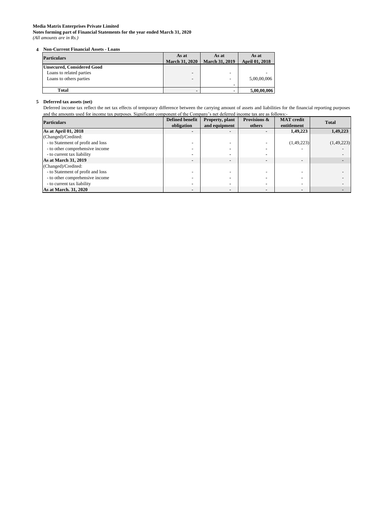**Notes forming part of Financial Statements for the year ended March 31, 2020** *(All amounts are in Rs.)*

# **4 Non-Current Financial Assets - Loans**

| <b>Particulars</b>         | As at<br><b>March 31, 2020</b> | As at<br><b>March 31, 2019</b> | As at<br><b>April 01, 2018</b> |
|----------------------------|--------------------------------|--------------------------------|--------------------------------|
| Unsecured, Considered Good |                                |                                |                                |
| Loans to related parties   | $\overline{\phantom{a}}$       | $\overline{\phantom{0}}$       |                                |
| Loans to others parties    | $\overline{\phantom{0}}$       | $\overline{\phantom{0}}$       | 5,00,00,006                    |
|                            |                                |                                |                                |
| Total                      |                                |                                | 5,00,00,006                    |

# **5 Deferred tax assets (net)**

Deferred income tax reflect the net tax effects of temporary difference between the carrying amount of assets and liabilities for the financial reporting purposes and the amounts used for income tax purposes. Significant component of the Company's net deferred income tax are as follows:-

| <b>Particulars</b>                | <b>Defined benefit</b>   | Property, plant | Provisions &             | <b>MAT</b> credit | <b>Total</b> |
|-----------------------------------|--------------------------|-----------------|--------------------------|-------------------|--------------|
|                                   | obligation               | and equipment   | others                   | entitlement       |              |
| As at April 01, 2018              | $\blacksquare$           |                 | -                        | 1,49,223          | 1,49,223     |
| (Changed)/Credited:               |                          |                 |                          |                   |              |
| - to Statement of profit and loss |                          |                 |                          | (1,49,223)        | (1,49,223)   |
| - to other comprehensive income   |                          |                 |                          |                   |              |
| - to current tax liability        | $\blacksquare$           |                 | $\overline{\phantom{a}}$ |                   |              |
| <b>As at March 31, 2019</b>       | $\overline{\phantom{0}}$ |                 | ٠                        |                   |              |
| (Changed)/Credited:               |                          |                 |                          |                   |              |
| - to Statement of profit and loss |                          |                 |                          |                   |              |
| - to other comprehensive income   |                          |                 |                          |                   |              |
| - to current tax liability        | $\blacksquare$           |                 | $\blacksquare$           | -                 |              |
| As at March. 31, 2020             |                          |                 |                          |                   |              |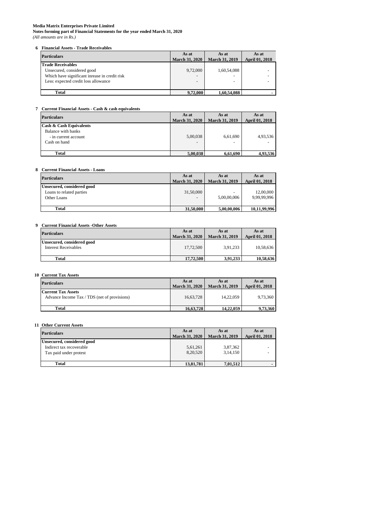**Notes forming part of Financial Statements for the year ended March 31, 2020** *(All amounts are in Rs.)*

# **6 Financial Assets - Trade Receivables**

# **7 Current Financial Assets - Cash & cash equivalents**

#### **8 Current Financial Assets - Loans**

| <b>Particulars</b>                                                                                                                              | As at<br><b>March 31, 2020</b> | As at<br><b>March 31, 2019</b>               | As at<br><b>April 01, 2018</b> |
|-------------------------------------------------------------------------------------------------------------------------------------------------|--------------------------------|----------------------------------------------|--------------------------------|
| <b>Trade Receivables</b><br>Unsecured, considered good<br>Which have significant inrease in credit risk<br>Less: expected credit loss allowance | 9,72,000<br>-                  | 1,60,54,088<br>-<br>$\overline{\phantom{0}}$ |                                |
| Total                                                                                                                                           | 9,72,000                       | 1,60,54,088                                  |                                |

# **9 Current Financial Assets -Other Assets**

| <b>Particulars</b>                                                                               | As at<br><b>March 31, 2020</b>       | As at<br><b>March 31, 2019</b>       | As at<br><b>April 01, 2018</b> |
|--------------------------------------------------------------------------------------------------|--------------------------------------|--------------------------------------|--------------------------------|
| <b>Cash &amp; Cash Equivalents</b><br>Balance with banks<br>- in current account<br>Cash on hand | 5,00,038<br>$\overline{\phantom{0}}$ | 6,61,690<br>$\overline{\phantom{a}}$ | 4,93,536<br>-                  |
| <b>Total</b>                                                                                     | 5,00,038                             | 6,61,690                             | 4,93,536                       |

# **10 Current Tax Assets**

| <b>Particulars</b>                                                    | As at<br><b>March 31, 2020</b>        | As at<br><b>March 31, 2019</b> | As at<br><b>April 01, 2018</b> |
|-----------------------------------------------------------------------|---------------------------------------|--------------------------------|--------------------------------|
| Unsecured, considered good<br>Loans to related parties<br>Other Loans | 31,50,000<br>$\overline{\phantom{a}}$ | $\sim$<br>5,00,00,006          | 12,00,000<br>9,99,99,996       |
| Total                                                                 | 31,50,000                             | 5,00,00,006                    | 10,11,99,996                   |

| <b>Particulars</b>                                 | As at<br><b>March 31, 2020</b> | As at<br><b>March 31, 2019</b> | As at<br><b>April 01, 2018</b> |
|----------------------------------------------------|--------------------------------|--------------------------------|--------------------------------|
| Unsecured, considered good<br>Interest Receivables | 17,72,500                      | 3,91,233                       | 10,58,636                      |
| Total                                              | 17.72.500                      | 3.91.233                       | 10,58,636                      |

# **11 Other Current Assets**

| <b>Particulars</b>                                                        | As at<br><b>March 31, 2020</b> | As at<br><b>March 31, 2019</b> | As at<br><b>April 01, 2018</b> |
|---------------------------------------------------------------------------|--------------------------------|--------------------------------|--------------------------------|
| <b>Current Tax Assets</b><br>Advance Income Tax / TDS (net of provisions) | 16,63,728                      | 14,22,059                      | 9,73,360                       |
| Total                                                                     | 16,63,728                      | 14.22.059                      | 9,73,360                       |

| <b>Particulars</b>         | As at                 | As at                 | As at                 |
|----------------------------|-----------------------|-----------------------|-----------------------|
|                            | <b>March 31, 2020</b> | <b>March 31, 2019</b> | <b>April 01, 2018</b> |
| Unsecured, considered good |                       |                       |                       |
| Indirect tax recoverable   | 5,61,261              | 3,87,362              |                       |
| Tax paid under protest     | 8,20,520              | 3,14,150              |                       |
|                            |                       |                       |                       |
| <b>Total</b>               | 13,81,781             | 7,01,512              |                       |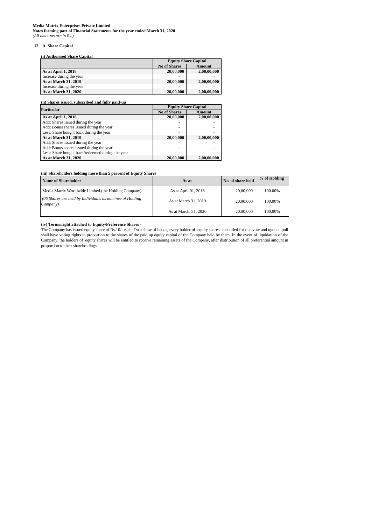**Notes forming part of Financial Statements for the year ended March 31, 2020** *(All amounts are in Rs.)*

# **12 A. Share Capital**

|                          | <b>Equity Share Capital</b> |             |  |
|--------------------------|-----------------------------|-------------|--|
|                          | <b>No of Shares</b>         | Amount      |  |
| As at April 1, 2018      | 20,00,000                   | 2,00,00,000 |  |
| Increase during the year | -                           |             |  |
| As at March 31, 2019     | 20,00,000                   | 2,00,00,000 |  |
| Increase during the year | -                           |             |  |
| As at March 31, 2020     | 20,00,000                   | 2,00,00,000 |  |

| Name of Shareholder                                                    | As at                 | No. of share held | % of Holding |
|------------------------------------------------------------------------|-----------------------|-------------------|--------------|
| Media Matrix Worldwide Limited (the Holding Company)                   | As at April 01, 2018  | 20,00,000         | 100.00%      |
| $(06$ Shares are held by Individuals as nominee of Holding<br>Company) | As at March 31, 2019  | 20,00,000         | 100.00%      |
|                                                                        | As at March. 31, 2020 | 20,00,000         | 100.00%      |

# **(iv) Terms/right attached to Equity/Preference Shares -**

| <b>Particular</b>                                |                     | <b>Equity Share Capital</b> |
|--------------------------------------------------|---------------------|-----------------------------|
|                                                  | <b>No of Shares</b> | Amount                      |
| As at April 1, 2018                              | 20,00,000           | 2,00,00,000                 |
| Add: Shares issued during the year               |                     |                             |
| Add: Bonus shares issued during the year         | ۰                   |                             |
| Less: Share bought back during the year          | ۰                   |                             |
| As at March 31, 2019                             | 20,00,000           | 2,00,00,000                 |
| Add: Shares issued during the year               |                     |                             |
| Add: Bonus shares issued during the year         | -                   |                             |
| Less: Share bought back/redeemed during the year | ۰                   |                             |
| As at March 31, 2020                             | 20,00,000           | 2,00,00,000                 |

# **(iii) Shareholders holding more than 5 percent of Equity Shares**

The Company has issued equity share of Rs.10/- each. On a show of hands, every holder of equity shares is entitled for one vote and upon a poll shall have voting rights in proportion to the shares of the paid up equity capital of the Company held by them. In the event of liquidation of the Company, the holders of equity shares will be entitled to receive remaining assets of the Company, after distribution of all preferential amount in proportion to their shareholdings.

# **(i) Authorised Share Capital**

# **(ii) Shares issued, subscribed and fully paid-up**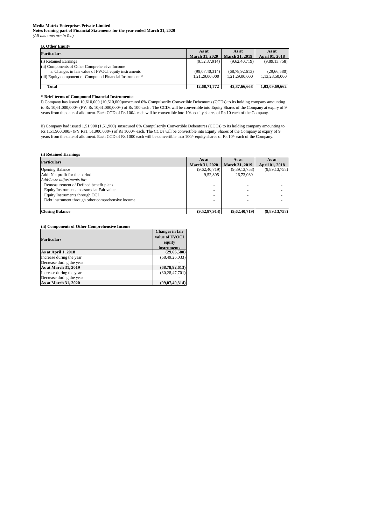**Notes forming part of Financial Statements for the year ended March 31, 2020** *(All amounts are in Rs.)*

# **B. Other Equity**

# **\* Brief terms of Compound Financial Instruments:**

# **(i) Retained Earnings**

# **(ii) Components of Other Comprehensive Income**

| $\sim$                                                    |                       |                       |                       |
|-----------------------------------------------------------|-----------------------|-----------------------|-----------------------|
| <b>Particulars</b>                                        | As at                 | As at                 | As at                 |
|                                                           | <b>March 31, 2020</b> | <b>March 31, 2019</b> | <b>April 01, 2018</b> |
| (i) Retained Earnings                                     | (9,52,87,914)         | (9,62,40,719)         | (9,89,13,758)         |
| (ii) Components of Other Comprehensive Income             |                       |                       |                       |
| a. Changes in fair value of FVOCI equity instruments      | (99,07,40,314)        | (68, 78, 92, 613)     | (29,66,580)           |
| (iii) Equity component of Compound Financial Instruments* | 1,21,29,00,000        | 1,21,29,00,000        | 1,13,28,50,000        |
|                                                           |                       |                       |                       |
| Total                                                     | 12,68,71,772          | 42,87,66,668          | 1,03,09,69,662        |

|                          | <b>Changes in fair</b> |
|--------------------------|------------------------|
| <b>Particulars</b>       | value of FVOCI         |
|                          | equity                 |
|                          | instruments            |
| As at April 1, 2018      | (29,66,580)            |
| Increase during the year | (68, 49, 26, 033)      |
| Decrease during the year |                        |
| As at March 31, 2019     | (68,78,92,613)         |
| Increase during the year | (30, 28, 47, 701)      |
| Decrease during the year |                        |
| As at March 31, 2020     | (99,07,40,314)         |

| <b>Particulars</b>                                 | As at                 | As at                 | As at                 |
|----------------------------------------------------|-----------------------|-----------------------|-----------------------|
|                                                    | <b>March 31, 2020</b> | <b>March 31, 2019</b> | <b>April 01, 2018</b> |
| <b>Opening Balance</b>                             | (9,62,40,719)         | (9,89,13,758)         | (9,89,13,758)         |
| Add: Net profit for the period                     | 9,52,805              | 26,73,039             |                       |
| Add/Less: adjustments for-                         |                       |                       |                       |
| Remeasurement of Defined benefit plans             | -                     |                       |                       |
| Equity Instruments measured at Fair value          |                       |                       |                       |
| Equity Instruments through OCI                     | -                     |                       |                       |
| Debt instrument through other comprehensive income | ۰                     |                       |                       |
|                                                    |                       |                       |                       |
| <b>Closing Balance</b>                             | (9,52,87,914)         | (9,62,40,719)         | (9,89,13,758)         |

i) Company has issued 10,610,000 (10,610,000)unsecured 0% Compulsorily Convertible Debentures (CCDs) to its holding company amounting to Rs 10,61,000,000/- (PY: Rs 10,61,000,000/-) of Rs 100 each . The CCDs will be convertible into Equity Shares of the Company at expiry of 9 years from the date of allotment. Each CCD of Rs.100/- each will be convertible into 10/- equity shares of Rs.10 each of the Company.

ii) Company had issued 1,51,900 (1,51,900) unsecured 0% Compulsorily Convertible Debentures (CCDs) to its holding company amounting to Rs 1,51,900,000/- (PY Rs1, 51,900,000/-) of Rs 1000/- each. The CCDs will be convertible into Equity Shares of the Company at expiry of 9 years from the date of allotment. Each CCD of Rs.1000 each will be convertible into 100/- equity shares of Rs.10/- each of the Company.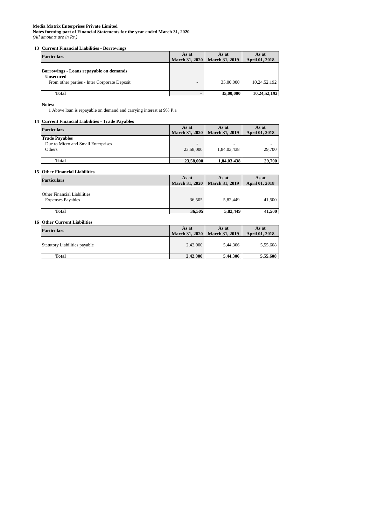**Notes forming part of Financial Statements for the year ended March 31, 2020** *(All amounts are in Rs.)*

# **13 Current Financial Liabilities - Borrowings**

**Notes:**

1 Above loan is repayable on demand and carrying interest at 9% P.a

# **14 Current Financial Liabilities - Trade Payables**

| <b>Particulars</b>                                                                                          | As at<br><b>March 31, 2020</b> | As at<br><b>March 31, 2019</b> | As at<br><b>April 01, 2018</b> |
|-------------------------------------------------------------------------------------------------------------|--------------------------------|--------------------------------|--------------------------------|
| Borrowings - Loans repayable on demands<br><b>Unsecured</b><br>From other parties - Inter Corporate Deposit | ۰                              | 35,00,000                      | 10,24,52,192                   |
| <b>Total</b>                                                                                                |                                | 35,00,000                      | 10,24,52,192                   |

# **15 Other Financial Liabilities**

| <b>Particulars</b>                                                    | As at<br><b>March 31, 2020</b>        | As at<br><b>March 31, 2019</b> | As at<br><b>April 01, 2018</b> |
|-----------------------------------------------------------------------|---------------------------------------|--------------------------------|--------------------------------|
| <b>Trade Payables</b><br>Due to Micro and Small Enterprises<br>Others | $\overline{\phantom{0}}$<br>23,58,000 | $\sim$<br>1,84,03,438          | 29,700                         |
| <b>Total</b>                                                          | 23,58,000                             | 1,84,03,438                    | 29,700                         |

# **16 Other Current Liabilities**

| <b>Particulars</b>                                             | As at<br><b>March 31, 2020</b> | As at<br><b>March 31, 2019</b> | As at<br><b>April 01, 2018</b> |
|----------------------------------------------------------------|--------------------------------|--------------------------------|--------------------------------|
| <b>Other Financial Liabilities</b><br><b>Expenses Payables</b> | 36,505                         | 5,82,449                       | 41,500                         |
| <b>Total</b>                                                   | 36,505                         | 5,82,449                       | 41,500                         |

| <b>Particulars</b>                   | As at<br><b>March 31, 2020</b> | As at<br><b>March 31, 2019</b> | As at<br><b>April 01, 2018</b> |
|--------------------------------------|--------------------------------|--------------------------------|--------------------------------|
| <b>Statutory Liabilities payable</b> | 2,42,000                       | 5,44,306                       | 5,55,608                       |
| <b>Total</b>                         | 2,42,000                       | 5,44,306                       | 5,55,608                       |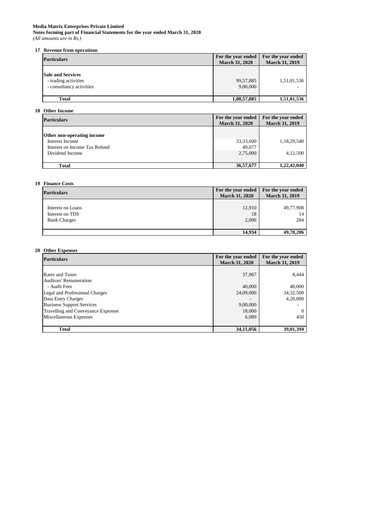**Notes forming part of Financial Statements for the year ended March 31, 2020** *(All amounts are in Rs.)*

# **17 Revenue from operations**

| <b>Particulars</b>                                                           | For the year ended<br><b>March 31, 2020</b> | For the year ended<br><b>March 31, 2019</b> |  |
|------------------------------------------------------------------------------|---------------------------------------------|---------------------------------------------|--|
| <b>Sale and Services</b><br>- trading activities<br>- consultancy activities | 99,57,885<br>9,00,000                       | 1,51,81,536                                 |  |
| <b>Total</b>                                                                 | 1,08,57,885                                 | 1,51,81,536                                 |  |

# **18 Other Income**

| <b>Particulars</b>                | For the year ended<br><b>March 31, 2020</b> | For the year ended<br><b>March 31, 2019</b> |
|-----------------------------------|---------------------------------------------|---------------------------------------------|
| <b>Other non-operating income</b> |                                             |                                             |
| Interest Income                   | 33, 33, 600                                 | 1,18,29,540                                 |
| Interest on Income Tax Refund     | 49,077                                      |                                             |
| Dividend Income                   | 2,75,000                                    | 4,12,500                                    |
|                                   |                                             |                                             |
| <b>Total</b>                      | 36,57,677                                   | 1,22,42,040                                 |

# **19 Finance Costs**

| <b>Particulars</b>                                          | For the year ended<br><b>March 31, 2020</b> | For the year ended<br><b>March 31, 2019</b> |
|-------------------------------------------------------------|---------------------------------------------|---------------------------------------------|
| Interest on Loans<br>Interest on TDS<br><b>Bank Charges</b> | 12,910<br>18<br>2,006                       | 49,77,908<br>14<br>284                      |
|                                                             | 14,934                                      | 49,78,206                                   |

# **20 Other Expenses**

| <b>Particulars</b>                 | For the year ended<br><b>March 31, 2020</b> | For the year ended<br><b>March 31, 2019</b> |
|------------------------------------|---------------------------------------------|---------------------------------------------|
|                                    |                                             |                                             |
| <b>Rates and Taxes</b>             | 37,967                                      | 8,444                                       |
| <b>Auditors' Remuneration</b>      |                                             |                                             |
| - Audit Fees                       | 40,000                                      | 40,000                                      |
| Legal and Professional Charges     | 24,09,000                                   | 34, 32, 500                                 |
| Data Entry Charges                 |                                             | 4,20,000                                    |
| <b>Business Support Services</b>   | 9,00,000                                    |                                             |
| Travelling and Conveyance Expenses | 18,000                                      | $\Omega$                                    |
| Miscellaneous Expenses             | 6,089                                       | 450                                         |
|                                    |                                             |                                             |
| <b>Total</b>                       | 34,11,056                                   | 39,01,394                                   |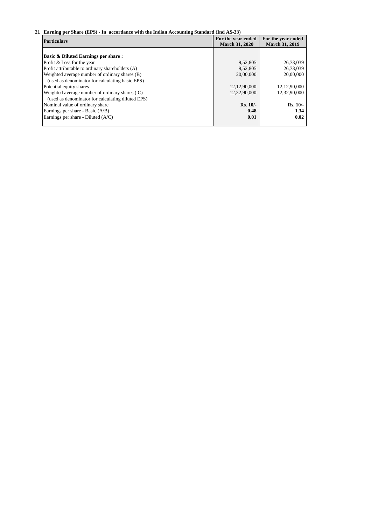# **21 Earning per Share (EPS) - In accordance with the Indian Accounting Standard (Ind AS-33)**

| <b>Particulars</b>                                | For the year ended<br><b>March 31, 2020</b> | For the year ended<br><b>March 31, 2019</b> |  |
|---------------------------------------------------|---------------------------------------------|---------------------------------------------|--|
|                                                   |                                             |                                             |  |
| <b>Basic &amp; Diluted Earnings per share:</b>    |                                             |                                             |  |
| Profit & Loss for the year                        | 9,52,805                                    | 26,73,039                                   |  |
| Profit attributable to ordinary shareholders (A)  | 9,52,805                                    | 26,73,039                                   |  |
| Weighted average number of ordinary shares (B)    | 20,00,000                                   | 20,00,000                                   |  |
| (used as denominator for calculating basic EPS)   |                                             |                                             |  |
| Potential equity shares                           | 12, 12, 90, 000                             | 12, 12, 90, 000                             |  |
| Weighted average number of ordinary shares (C)    | 12,32,90,000                                | 12,32,90,000                                |  |
| (used as denominator for calculating diluted EPS) |                                             |                                             |  |
| Nominal value of ordinary share                   | $Rs. 10/-$                                  | $Rs. 10/-$                                  |  |
| Earnings per share - Basic (A/B)                  | 0.48                                        | 1.34                                        |  |
| Earnings per share - Diluted (A/C)                | 0.01                                        | 0.02                                        |  |
|                                                   |                                             |                                             |  |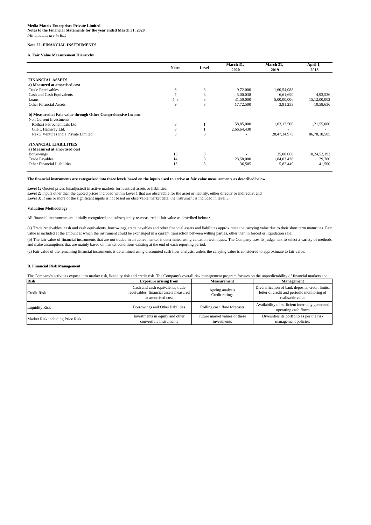# **Media Matrix Enterprises Private Limited Notes to the Financial Statements for the year ended March 31, 2020**

*(All amounts are in Rs.)*

# **Note 22: FINANCIAL INSTRUMENTS**

# **A. Fair Value Measurement Hierarchy**

|                                                              | <b>Notes</b> | Level | March 31,<br>2020 | March 31,<br>2019 | April $\overline{1,}$<br>2018 |
|--------------------------------------------------------------|--------------|-------|-------------------|-------------------|-------------------------------|
|                                                              |              |       |                   |                   |                               |
| <b>FINANCIAL ASSETS</b>                                      |              |       |                   |                   |                               |
| a) Measured at amortised cost                                |              |       |                   |                   |                               |
| <b>Trade Receivables</b>                                     | 6            | 3     | 9,72,000          | 1,60,54,088       |                               |
| Cash and Cash Equivalents                                    | 7            |       | 5,00,038          | 6,61,690          | 4,93,536                      |
| Loans                                                        | 4, 8         |       | 31,50,000         | 5,00,00,006       | 15,12,00,002                  |
| <b>Other Financial Assets</b>                                | 9            | 3     | 17,72,500         | 3,91,233          | 10,58,636                     |
| b) Measured at Fair value through Other Comprehensive Income |              |       |                   |                   |                               |
| Non Current Investments                                      |              |       |                   |                   |                               |
| Kothari Petrochemicals Ltd.                                  | 3            |       | 58,85,000         | 1,03,12,500       | 1,21,55,000                   |
| GTPL Hathway Ltd.                                            | 3            |       | 2,66,64,430       |                   |                               |
| NexG Ventures India Private Limited                          | 3            | 3     |                   | 28, 47, 34, 973   | 86,78,18,505                  |
| <b>FINANCIAL LIABILITIES</b>                                 |              |       |                   |                   |                               |
| a) Measured at amortised cost                                |              |       |                   |                   |                               |
| <b>Borrowings</b>                                            | 13           | 3     |                   | 35,00,000         | 10,24,52,192                  |
| <b>Trade Payables</b>                                        | 14           |       | 23,58,000         | 1,84,03,438       | 29,700                        |
| <b>Other Financial Liabilities</b>                           | 15           | 3     | 36,505            | 5,82,449          | 41,500                        |

# **Valuation Methodology**

#### **B. Financial Risk Management**

| <b>Risk</b>                      | <b>Exposure arising from</b>                                                                    | <b>Measurement</b>                           | <b>Management</b>                                                                                                   |
|----------------------------------|-------------------------------------------------------------------------------------------------|----------------------------------------------|---------------------------------------------------------------------------------------------------------------------|
| <b>Credit Risk</b>               | Cash and cash equivalents, trade<br>receivables, financial assets measured<br>at amortised cost | Ageing analysis<br>Credit ratings            | Diversification of bank deposits, credit limits,<br>letter of credit and periodic monitoring of<br>realisable value |
| <b>Liquidity Risk</b>            | Borrowings and Other liabilities                                                                | Rolling cash flow forecasts                  | Availability of sufficient internally generated<br>operating cash flows                                             |
| Market Risk including Price Risk | Investments in equity and other<br>convertible instruments                                      | Future market values of these<br>investments | Diversifies its portfolio as per the risk<br>management policies.                                                   |

(b) The fair value of financial instruments that are not traded in an active market is determined using valuation techniques. The Company uses its judgement to select a variety of methods and make assumptions that are mainly based on market conditions existing at the end of each reporting period.

(c) Fair value of the remaining financial instruments is determined using discounted cash flow analysis, unless the carrying value is considered to approximate to fair value.

The Company's activities expose it to market risk, liquidity risk and credit risk. The Company's overall risk management program focuses on the unpredictability of financial markets and

(a) Trade receivables, cash and cash equivalents, borrowings, trade payables and other financial assets and liabilities approximate the carrying value due to their short term maturities. Fair value is included at the amount at which the instrument could be exchanged in a current transaction between willing parties, other than in forced or liquidation sale.

#### **The financial instruments are categorized into three levels based on the inputs used to arrive at fair value measurements as described below:**

Level 1: Quoted prices (unadjusted) in active markets for identical assets or liabilities.

Level 2: Inputs other than the quoted prices included within Level 1 that are observable for the asset or liability, either directly or indirectly; and

Level 3: If one or more of the significant inputs is not based on observable market data, the instrument is included in level 3.

All financial instruments are initially recognized and subsequently re-measured at fair value as described below :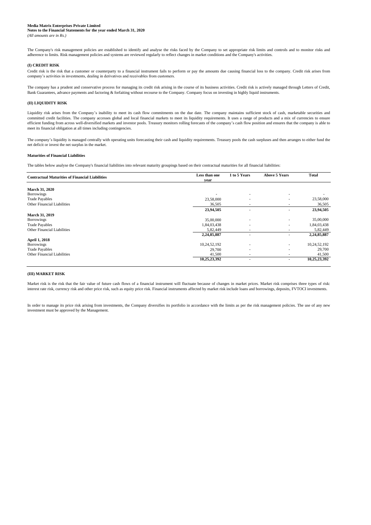# **Notes to the Financial Statements for the year ended March 31, 2020**

*(All amounts are in Rs.)*

#### **(I) CREDIT RISK**

# **(II) LIQUIDITY RISK**

# **(III) MARKET RISK**

In order to manage its price risk arising from investments, the Company diversifies its portfolio in accordance with the limits as per the risk management policies. The use of any new investment must be approved by the Management.

The company has a prudent and conservative process for managing its credit risk arising in the course of its business activities. Credit risk is actively managed through Letters of Credit, Bank Guarantees, advance payments and factoring & forfaiting without recourse to the Company. Company focus on investing in highly liquid instruments.

The Company's risk management policies are established to identify and analyse the risks faced by the Company to set appropriate risk limits and controls and to monitor risks and adherence to limits. Risk management policies and systems are reviewed regularly to reflect changes in market conditions and the Company's activities.

Liquidity risk arises from the Company's inability to meet its cash flow commitments on the due date. The company maintains sufficient stock of cash, marketable securities and committed credit facilities. The company accesses global and local financial markets to meet its liquidity requirements. It uses a range of products and a mix of currencies to ensure efficient funding from across well-diversified markets and investor pools. Treasury monitors rolling forecasts of the company's cash flow position and ensures that the company is able to meet its financial obligation at all times including contingencies.

The company's liquidity is managed centrally with operating units forecasting their cash and liquidity requirements. Treasury pools the cash surpluses and then arranges to either fund the net deficit or invest the net surplus in the market.

Credit risk is the risk that a customer or counterparty to a financial instrument fails to perform or pay the amounts due causing financial loss to the company. Credit risk arises from company's activities in investments, dealing in derivatives and receivables from customers.

| <b>Contractual Maturities of Financial Liabilities</b> | Less than one            | 1 to 5 Years             | <b>Above 5 Years</b>     | <b>Total</b> |
|--------------------------------------------------------|--------------------------|--------------------------|--------------------------|--------------|
|                                                        | year                     |                          |                          |              |
| <b>March 31, 2020</b>                                  |                          |                          |                          |              |
| <b>Borrowings</b>                                      | $\overline{\phantom{0}}$ |                          | $\overline{\phantom{a}}$ |              |
| <b>Trade Payables</b>                                  | 23,58,000                | $\overline{\phantom{a}}$ |                          | 23,58,000    |
| Other Financial Liabilities                            | 36,505                   | $\overline{\phantom{a}}$ | $\overline{\phantom{a}}$ | 36,505       |
|                                                        | 23,94,505                |                          | $\overline{\phantom{a}}$ | 23,94,505    |
| <b>March 31, 2019</b>                                  |                          |                          |                          |              |
| <b>Borrowings</b>                                      | 35,00,000                |                          |                          | 35,00,000    |
| <b>Trade Payables</b>                                  | 1,84,03,438              |                          | $\overline{\phantom{a}}$ | 1,84,03,438  |
| <b>Other Financial Liabilities</b>                     | 5,82,449                 |                          |                          | 5,82,449     |
|                                                        | 2,24,85,887              |                          |                          | 2,24,85,887  |
| <b>April 1, 2018</b>                                   |                          |                          |                          |              |
| Borrowings                                             | 10,24,52,192             |                          |                          | 10,24,52,192 |
| <b>Trade Payables</b>                                  | 29,700                   |                          | $\overline{\phantom{a}}$ | 29,700       |
| <b>Other Financial Liabilities</b>                     | 41,500                   |                          |                          | 41,500       |
|                                                        | 10,25,23,392             |                          | $\overline{\phantom{a}}$ | 10,25,23,392 |

#### **Maturities of Financial Liabilities**

The tables below analyse the Company's financial liabilities into relevant maturity groupings based on their contractual maturities for all financial liabilities:

Market risk is the risk that the fair value of future cash flows of a financial instrument will fluctuate because of changes in market prices. Market risk comprises three types of risk: interest rate risk, currency risk and other price risk, such as equity price risk. Financial instruments affected by market risk include loans and borrowings, deposits, FVTOCI investments.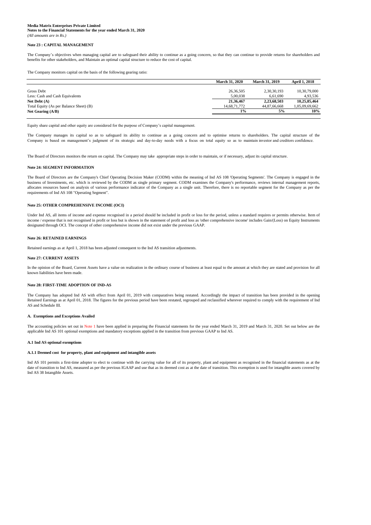**Notes to the Financial Statements for the year ended March 31, 2020** *(All amounts are in Rs.)*

#### **Note 23 : CAPITAL MANAGEMENT**

|                                         | <b>March 31, 2020</b> | <b>March 31, 2019</b> | <b>April 1, 2018</b> |
|-----------------------------------------|-----------------------|-----------------------|----------------------|
|                                         |                       |                       |                      |
| Gross Debt                              | 26,36,505             | 2,30,30,193           | 10,30,79,000         |
| Less: Cash and Cash Equivalents         | 5,00,038              | 6,61,690              | 4,93,536             |
| Net Debt $(A)$                          | 21,36,467             | 2,23,68,503           | 10,25,85,464         |
| Total Equity (As per Balance Sheet) (B) | 14,68,71,772          | 44,87,66,668          | 1,05,09,69,662       |
| Net Gearing $(A/B)$                     | $1\%$                 | 5%                    | 10%                  |
|                                         |                       |                       |                      |

# **Note 24: SEGMENT INFORMATION**

#### **Note 26: RETAINED EARNINGS**

# **Note 27: CURRENT ASSETS**

#### **Note 28: FIRST-TIME ADOPTION OF IND-AS**

#### **A. Exemptions and Exceptions Availed**

#### **A.1 Ind AS optional exemptions**

The accounting policies set out in Note 1 have been applied in preparing the Financial statements for the year ended March 31, 2019 and March 31, 2020. Set out below are the applicable Ind AS 101 optional exemptions and mandatory exceptions applied in the transition from previous GAAP to Ind AS.

In the opinion of the Board, Current Assets have a value on realization in the ordinary course of business at least equal to the amount at which they are stated and provision for all known liabilities have been made.

date of transition to Ind AS, measured as per the previous IGAAP and use that as its deemed cost as at the date of transition. This exemption is used for intangible assets covered by Ind AS 38 Intangible Assets.

The Company has adopted Ind AS with effect from April 01, 2019 with comparatives being restated. Accordingly the impact of transition has been provided in the opening Retained Earnings as at April 01, 2018. The figures for the previous period have been restated, regrouped and reclassified wherever required to comply with the requirement of Ind AS and Schedule III.

The Company's objectives when managing capital are to safeguard their ability to continue as a going concern, so that they can continue to provide returns for shareholders and benefits for other stakeholders, and Maintain an optimal capital structure to reduce the cost of capital.

# **A.1.1 Deemed cost for property, plant and equipment and intangible assets**

Ind AS 101 permits a first-time adopter to elect to continue with the carrying value for all of its property, plant and equipment as recognised in the financial statements as at the

Retained earnings as at April 1, 2018 has been adjusted consequent to the Ind AS transition adjustments.

The Company monitors capital on the basis of the following gearing ratio:

Equity share capital and other equity are considered for the purpose of Company's capital management.

The Company manages its capital so as to safeguard its ability to continue as a going concern and to optimise returns to shareholders. The capital structure of the Company is based on management's judgment of its strategic and day-to-day needs with a focus on total equity so as to maintain investor and creditors confidence.

The Board of Directors monitors the return on capital. The Company may take appropriate steps in order to maintain, or if necessary, adjust its capital structure.

The Board of Directors are the Company's Chief Operating Decision Maker (CODM) within the meaning of Ind AS 108 'Operating Segments'. The Company is engaged in the business of Investments, etc. which is reviewed by the CODM as single primary segment. CODM examines the Company's performance, reviews internal management reports, allocates resources based on analysis of various performance indicator of the Company as a single unit. Therefore, there is no reportable segment for the Company as per the requirements of Ind AS 108 "Operating Segment".

#### **Note 25: OTHER COMPREHENSIVE INCOME (OCI)**

Under Ind AS, all items of income and expense recognised in a period should be included in profit or loss for the period, unless a standard requires or permits otherwise. Item of income / expense that is not recognised in profit or loss but is shown in the statement of profit and loss as 'other comprehensive income' includes Gain/(Loss) on Equity Instruments designated through OCI. The concept of other comprehensive income did not exist under the previous GAAP.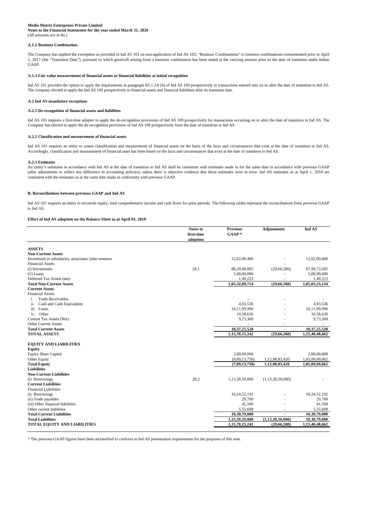**Notes to the Financial Statements for the year ended March 31, 2020** *(All amounts are in Rs.)*

# **A.1.2 Business Combination**

# **A.2 Ind AS mandatory exceptions**

# **A.2.1 De-recognition of financial assets and liabilities**

# **A.2.2 Classification and measurement of financial assets**

#### **A.2.3 Estimates**

# **B. Reconciliations between previous GAAP and Ind AS**

#### **Effect of Ind AS adoption on the Balance Sheet as at April 01, 2018**

|                                                      | <b>Notes to</b> | <b>Previous</b> | <b>Adjustments</b>       | Ind AS         |
|------------------------------------------------------|-----------------|-----------------|--------------------------|----------------|
|                                                      | first-time      | $GAAP*$         |                          |                |
|                                                      | adoption        |                 |                          |                |
| <b>ASSETS</b>                                        |                 |                 |                          |                |
| <b>Non-Current Assets</b>                            |                 |                 |                          |                |
| Investment in subsidaries, associates/joint ventures |                 | 12,02,00,400    |                          | 12,02,00,400   |
| <b>Financial Assets</b>                              |                 |                 |                          |                |
| (i) Investments                                      | 28.1            | 88,29,40,085    | (29, 66, 580)            | 87,99,73,505   |
| (ii) Loans                                           |                 | 5,00,00,006     |                          | 5,00,00,006    |
| Deferred Tax Assets (net)                            |                 | 1,49,223        |                          | 1,49,223       |
| <b>Total Non-Current Assets</b>                      |                 | 1,05,32,89,714  | (29, 66, 580)            | 1,05,03,23,134 |
| <b>Current Assets</b>                                |                 |                 |                          |                |
| <b>Financial Assets</b>                              |                 |                 |                          |                |
| <b>Trade Receivables</b><br>1.                       |                 |                 |                          |                |
| Cash and Cash Equivalents<br>11.                     |                 | 4,93,536        |                          | 4,93,536       |
| iii.<br>Loans                                        |                 | 10,11,99,996    |                          | 10,11,99,996   |
| Other<br>iv.                                         |                 | 10,58,636       |                          | 10,58,636      |
| Current Tax Assets (Net)                             |                 | 9,73,360        |                          | 9,73,360       |
| <b>Other Current Assets</b>                          |                 |                 | $\overline{\phantom{a}}$ |                |
| <b>Total Current Assets</b>                          |                 | 10,37,25,528    |                          | 10,37,25,528   |
| <b>TOTAL ASSETS</b>                                  |                 | 1,15,70,15,242  | (29, 66, 580)            | 1,15,40,48,662 |
| <b>EQUITY AND LIABILITIES</b>                        |                 |                 |                          |                |
| <b>Equity</b>                                        |                 |                 |                          |                |
| <b>Equity Share Capital</b>                          |                 | 2,00,00,000     |                          | 2,00,00,000    |
| Other Equity                                         |                 | (9,89,13,758)   | 1,12,98,83,420           | 1,03,09,69,662 |

Ind AS 101 requires an entity to reconcile equity, total comprehensive income and cash flows for prior periods. The following tables represent the reconciliations from previous GAAP to Ind AS.

**Total Equity (7,89,13,758) 1,12,98,83,420 1,05,09,69,662**

Ind AS 101 provides the option to apply the requirements in paragraph B5.1.2A (b) of Ind AS 109 prospectively to transactions entered into on or after the date of transition to Ind AS. The company elected to apply the Ind AS 109 prospectively to financial assets and financial liabilities after its transition date.

Ind AS 101 requires a first-time adopter to apply the de-recognition provisions of Ind AS 109 prospectively for transactions occurring on or after the date of transition to Ind AS. The Company has elected to apply the de-recognition provisions of Ind AS 109 prospectively from the date of transition to Ind AS.

| <b>Non-Current Liabilities</b><br>28.2<br>(i) Borrowings<br>(1,13,28,50,000)<br>1,13,28,50,000<br><b>Current Liabilities</b><br><b>Financial Liabilities</b><br>10,24,52,192<br>(i) Borrowings<br>10,24,52,192<br>29,700<br>29,700<br>(ii) Trade payables<br>-<br>41,500<br>41,500<br>(iii) Other financial liabilities<br>$\overline{\phantom{0}}$<br>5,55,608<br>Other current liabilities<br>5,55,608<br>10,30,79,000<br>10,30,79,000<br><b>Total Current Liabilities</b><br>1,23,59,29,000<br>(1,13,28,50,000)<br><b>Total Liabilities</b><br>10,30,79,000<br><b>TOTAL EQUITY AND LIABILITIES</b><br>1,15,70,15,242<br>(29,66,580)<br>1,15,40,48,662 | <b>Liabilities</b> |  |  |
|----------------------------------------------------------------------------------------------------------------------------------------------------------------------------------------------------------------------------------------------------------------------------------------------------------------------------------------------------------------------------------------------------------------------------------------------------------------------------------------------------------------------------------------------------------------------------------------------------------------------------------------------------------|--------------------|--|--|
|                                                                                                                                                                                                                                                                                                                                                                                                                                                                                                                                                                                                                                                          |                    |  |  |
|                                                                                                                                                                                                                                                                                                                                                                                                                                                                                                                                                                                                                                                          |                    |  |  |
|                                                                                                                                                                                                                                                                                                                                                                                                                                                                                                                                                                                                                                                          |                    |  |  |
|                                                                                                                                                                                                                                                                                                                                                                                                                                                                                                                                                                                                                                                          |                    |  |  |
|                                                                                                                                                                                                                                                                                                                                                                                                                                                                                                                                                                                                                                                          |                    |  |  |
|                                                                                                                                                                                                                                                                                                                                                                                                                                                                                                                                                                                                                                                          |                    |  |  |
|                                                                                                                                                                                                                                                                                                                                                                                                                                                                                                                                                                                                                                                          |                    |  |  |
|                                                                                                                                                                                                                                                                                                                                                                                                                                                                                                                                                                                                                                                          |                    |  |  |
|                                                                                                                                                                                                                                                                                                                                                                                                                                                                                                                                                                                                                                                          |                    |  |  |
|                                                                                                                                                                                                                                                                                                                                                                                                                                                                                                                                                                                                                                                          |                    |  |  |
|                                                                                                                                                                                                                                                                                                                                                                                                                                                                                                                                                                                                                                                          |                    |  |  |

Ind AS 101 requires an entity to assess classification and measurement of financial assets on the basis of the facts and circumstances that exist at the date of transition to Ind AS. Accordingly, classification and measurement of financial asset has been based on the facts and circumstances that exist at the date of transition to Ind AS.

\* The previous GAAP figures have been reclassified to conform to Ind AS presentation requirements for the purposes of this note.

The Company has applied the exemption as provided in Ind AS 101 on non-application of Ind AS 103, "Business Combinations" to business combinations consummated prior to April 1, 2017 (the "Transition Date"), pursuant to which goodwill arising from a business combination has been stated at the carrying amount prior to the date of transition under Indian GAAP.

# **A.1.3 Fair value measurement of financial assets or financial liabilities at initial recognition**

An entity's estimates in accordance with Ind AS at the date of transition to Ind AS shall be consistent with estimates made in for the same date in accordance with previous GAAP (after adjustments to reflect any difference in accounting policies), unless there is objective evidence that those estimates were in error. Ind AS estimates as at April 1, 2018 are consistent with the estimates as at the same date made in conformity with previous GAAP.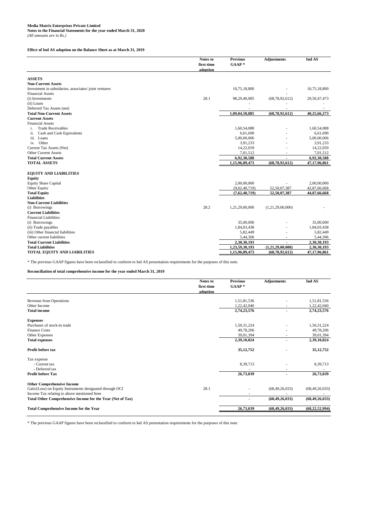# **Media Matrix Enterprises Private Limited Notes to the Financial Statements for the year ended March 31, 2020** *(All amounts are in Rs.)*

# **Effect of Ind AS adoption on the Balance Sheet as at March 31, 2019**

|                                                      | Notes to<br>first-time<br>adoption | <b>Previous</b><br>$GAAP*$ | <b>Adjustments</b> | Ind AS       |
|------------------------------------------------------|------------------------------------|----------------------------|--------------------|--------------|
| <b>ASSETS</b>                                        |                                    |                            |                    |              |
| <b>Non-Current Assets</b>                            |                                    |                            |                    |              |
| Investment in subsidaries, associates/joint ventures |                                    | 10,75,18,800               |                    | 10,75,18,800 |
| <b>Financial Assets</b>                              |                                    |                            |                    |              |
| (i) Investments                                      | 28.1                               | 98,29,40,085               | (68, 78, 92, 612)  | 29,50,47,473 |
| (ii) Loans                                           |                                    |                            |                    |              |
| Deferred Tax Assets (net)                            |                                    |                            |                    |              |
| <b>Total Non-Current Assets</b>                      |                                    | 1,09,04,58,885             | (68, 78, 92, 612)  | 40,25,66,273 |
| <b>Current Assets</b>                                |                                    |                            |                    |              |
| <b>Financial Assets</b>                              |                                    |                            |                    |              |
| <b>Trade Receivables</b><br>i.                       |                                    | 1,60,54,088                |                    | 1,60,54,088  |
| Cash and Cash Equivalents<br>ii.                     |                                    | 6,61,690                   |                    | 6,61,690     |
| iii. Loans                                           |                                    | 5,00,00,006                |                    | 5,00,00,006  |
| Other<br>iv.                                         |                                    | 3,91,233                   |                    | 3,91,233     |
| Current Tax Assets (Net)                             |                                    | 14,22,059                  |                    | 14,22,059    |
| <b>Other Current Assets</b>                          |                                    | 7,01,512                   | $\overline{a}$     | 7,01,512     |
| <b>Total Current Assets</b>                          |                                    | 6,92,30,588                |                    | 6,92,30,588  |
| <b>TOTAL ASSETS</b>                                  |                                    | 1,15,96,89,473             | (68, 78, 92, 612)  | 47,17,96,861 |
| <b>EQUITY AND LIABILITIES</b>                        |                                    |                            |                    |              |
| <b>Equity</b>                                        |                                    |                            |                    |              |
| <b>Equity Share Capital</b>                          |                                    | 2,00,00,000                |                    | 2,00,00,000  |
| Other Equity                                         |                                    | (9,62,40,719)              | 52,50,07,387       | 42,87,66,668 |
| <b>Total Equity</b>                                  |                                    | (7,62,40,719)              | 52,50,07,387       | 44,87,66,668 |
| <b>Liabilities</b>                                   |                                    |                            |                    |              |
| <b>Non-Current Liabilities</b>                       |                                    |                            |                    |              |
| (i) Borrowings                                       | 28.2                               | 1,21,29,00,000             | (1,21,29,00,000)   |              |
| <b>Current Liabilities</b>                           |                                    |                            |                    |              |
| <b>Financial Liabilities</b>                         |                                    |                            |                    |              |
| (i) Borrowings                                       |                                    | 35,00,000                  |                    | 35,00,000    |
| (ii) Trade payables                                  |                                    | 1,84,03,438                |                    | 1,84,03,438  |
| (iii) Other financial liabilities                    |                                    | 5,82,449                   |                    | 5,82,449     |
| Other current liabilities                            |                                    | 5,44,306                   |                    | 5,44,306     |
| <b>Total Current Liabilities</b>                     |                                    | 2,30,30,193                |                    | 2,30,30,193  |
| <b>Total Liabilities</b>                             |                                    | 1,23,59,30,193             | (1,21,29,00,000)   | 2,30,30,193  |
| <b>TOTAL EQUITY AND LIABILITIES</b>                  |                                    | 1,15,96,89,473             | (68,78,92,612)     | 47,17,96,861 |

# **Reconciliation of total comprehensive income for the year ended March 31, 2019**

|                                                            | Notes to<br>first-time<br>adoption | <b>Previous</b><br>$GAAP*$ | <b>Adjustments</b> | Ind AS            |
|------------------------------------------------------------|------------------------------------|----------------------------|--------------------|-------------------|
|                                                            |                                    |                            |                    |                   |
| Revenue from Operations                                    |                                    | 1,51,81,536                |                    | 1,51,81,536       |
| Other Income                                               |                                    | 1,22,42,040                |                    | 1,22,42,040       |
| <b>Total income</b>                                        |                                    | 2,74,23,576                | $\sim$             | 2,74,23,576       |
| <b>Expenses</b>                                            |                                    |                            |                    |                   |
| Purchases of stock-in trade                                |                                    | 1,50,31,224                |                    | 1,50,31,224       |
| <b>Finance Costs</b>                                       |                                    | 49,78,206                  |                    | 49,78,206         |
| Other Expenses                                             |                                    | 39,01,394                  |                    | 39,01,394         |
| <b>Total expenses</b>                                      |                                    | 2,39,10,824                | $\blacksquare$     | 2,39,10,824       |
| Profit before tax                                          |                                    | 35, 12, 752                |                    | 35, 12, 752       |
| Tax expense                                                |                                    |                            |                    |                   |
| - Current tax                                              |                                    | 8,39,713                   |                    | 8,39,713          |
| - Deferred tax                                             |                                    |                            |                    |                   |
| <b>Profit before Tax</b>                                   |                                    | 26,73,039                  | ٠                  | 26,73,039         |
| <b>Other Comprehensive Income</b>                          |                                    |                            |                    |                   |
| Gain/(Loss) on Equity Instruments designated through OCI   | 28.1                               |                            | (68, 49, 26, 033)  | (68, 49, 26, 033) |
| Income Tax relating to above mentioned Item                |                                    |                            |                    |                   |
| Total Other Comprehensive Income for the Year (Net of Tax) |                                    |                            | (68, 49, 26, 033)  | (68, 49, 26, 033) |
| <b>Total Comprehensive Income for the Year</b>             |                                    | 26,73,039                  | (68, 49, 26, 033)  | (68, 22, 52, 994) |

\* The previous GAAP figures have been reclassified to conform to Ind AS presentation requirements for the purposes of this note.

\* The previous GAAP figures have been reclassified to conform to Ind AS presentation requirements for the purposes of this note.